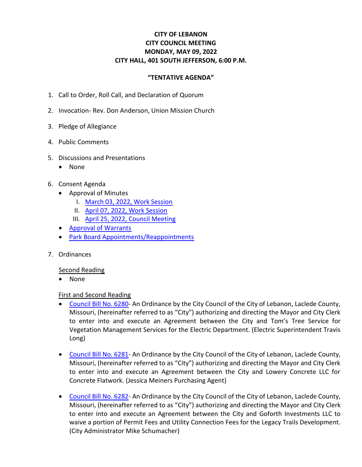# **CITY OF LEBANON CITY COUNCIL MEETING MONDAY, MAY 09, 2022 CITY HALL, 401 SOUTH JEFFERSON, 6:00 P.M.**

### **"TENTATIVE AGENDA"**

- 1. Call to Order, Roll Call, and Declaration of Quorum
- 2. Invocation- Rev. Don Anderson, Union Mission Church
- 3. Pledge of Allegiance
- 4. Public Comments
- 5. Discussions and Presentations
	- None
- 6. Consent Agenda
	- Approval of Minutes
		- I. [March 03, 2022, Work Session](https://www.lebanonmissouri.org/DocumentCenter/View/36066/03-03-22-Draft-Work-Session-Minutes)
		- II. [April 07, 2022, Work Session](https://www.lebanonmissouri.org/DocumentCenter/View/36067/04-07-22-Draft-Work-Session-Minutes)
		- III. April 25, 2022, [Council Meeting](https://www.lebanonmissouri.org/DocumentCenter/View/36068/04-25-22-Draft-Minutes)
	- [Approval of Warrants](https://www.lebanonmissouri.org/DocumentCenter/View/36069/Warrants)
	- [Park Board Appointments/Reappointments](https://www.lebanonmissouri.org/DocumentCenter/View/36070/Park-Board-Appointments)
- 7. Ordinances

#### Second Reading

• None

#### First and Second Reading

- [Council Bill No.](https://www.lebanonmissouri.org/DocumentCenter/View/36071/Council-Bill-No-6280--Agreement-Vegetation-Management-Toms-Tree-Service-LLC) 6280- An Ordinance by the City Council of the City of Lebanon, Laclede County, Missouri, (hereinafter referred to as "City") authorizing and directing the Mayor and City Clerk to enter into and execute an Agreement between the City and Tom's Tree Service for Vegetation Management Services for the Electric Department. (Electric Superintendent Travis Long)
- [Council Bill No.](https://www.lebanonmissouri.org/DocumentCenter/View/36072/Council-Bill-No-6281--Agreement-Concrete-Flatwork-Lowery-Concrete-LLC) 6281- An Ordinance by the City Council of the City of Lebanon, Laclede County, Missouri, (hereinafter referred to as "City") authorizing and directing the Mayor and City Clerk to enter into and execute an Agreement between the City and Lowery Concrete LLC for Concrete Flatwork. (Jessica Meiners Purchasing Agent)
- [Council Bill No.](https://www.lebanonmissouri.org/DocumentCenter/View/36073/Council-Bill-No-6282--Agreement-Reduction-of-Fees-Goforth-Investments-LLC) 6282- An Ordinance by the City Council of the City of Lebanon, Laclede County, Missouri, (hereinafter referred to as "City") authorizing and directing the Mayor and City Clerk to enter into and execute an Agreement between the City and Goforth Investments LLC to waive a portion of Permit Fees and Utility Connection Fees for the Legacy Trails Development. (City Administrator Mike Schumacher)